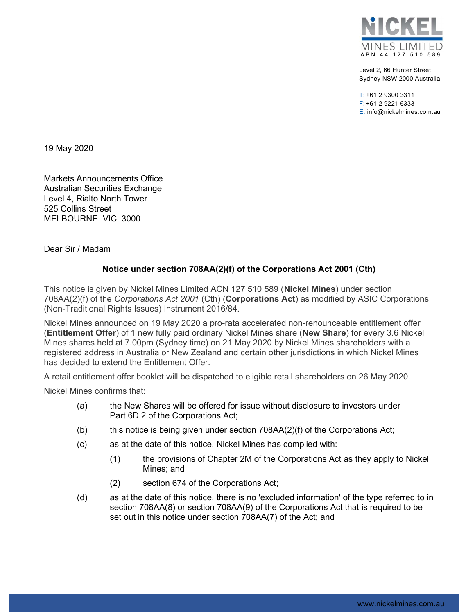

Level 2, 66 Hunter Street Sydney NSW 2000 Australia

T: +61 2 9300 3311 F: +61 2 9221 6333 E: info@nickelmines.com.au

19 May 2020

Markets Announcements Office Australian Securities Exchange Level 4, Rialto North Tower 525 Collins Street MELBOURNE VIC 3000

Dear Sir / Madam

## Notice under section 708AA(2)(f) of the Corporations Act 2001 (Cth)

This notice is given by Nickel Mines Limited ACN 127 510 589 (Nickel Mines) under section 708AA(2)(f) of the Corporations Act 2001 (Cth) (Corporations Act) as modified by ASIC Corporations (Non-Traditional Rights Issues) Instrument 2016/84.

Nickel Mines announced on 19 May 2020 a pro-rata accelerated non-renounceable entitlement offer (Entitlement Offer) of 1 new fully paid ordinary Nickel Mines share (New Share) for every 3.6 Nickel Mines shares held at 7.00pm (Sydney time) on 21 May 2020 by Nickel Mines shareholders with a registered address in Australia or New Zealand and certain other jurisdictions in which Nickel Mines has decided to extend the Entitlement Offer.

A retail entitlement offer booklet will be dispatched to eligible retail shareholders on 26 May 2020.

Nickel Mines confirms that:

- (a) the New Shares will be offered for issue without disclosure to investors under Part 6D.2 of the Corporations Act;
- (b) this notice is being given under section 708AA(2)(f) of the Corporations Act;
- (c) as at the date of this notice, Nickel Mines has complied with:
	- (1) the provisions of Chapter 2M of the Corporations Act as they apply to Nickel Mines; and
	- (2) section 674 of the Corporations Act;
- (d) as at the date of this notice, there is no 'excluded information' of the type referred to in section 708AA(8) or section 708AA(9) of the Corporations Act that is required to be set out in this notice under section 708AA(7) of the Act; and